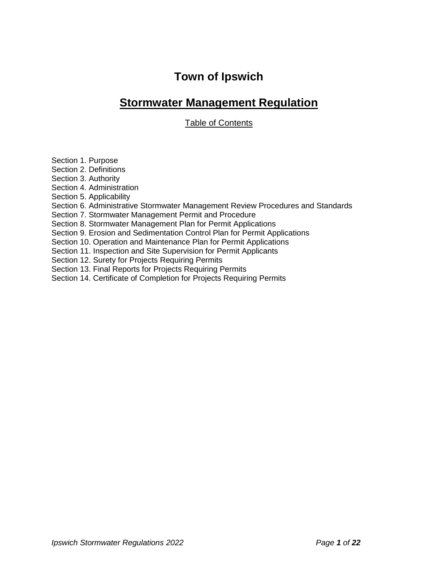# **Town of Ipswich**

## **Stormwater Management Regulation**

Table of Contents

Section 1. Purpose

Section 2. Definitions

Section 3. Authority

Section 4. Administration

Section 5. Applicability

Section 6. Administrative Stormwater Management Review Procedures and Standards

Section 7. Stormwater Management Permit and Procedure

Section 8. Stormwater Management Plan for Permit Applications

Section 9. Erosion and Sedimentation Control Plan for Permit Applications

Section 10. Operation and Maintenance Plan for Permit Applications

Section 11. Inspection and Site Supervision for Permit Applicants

Section 12. Surety for Projects Requiring Permits

Section 13. Final Reports for Projects Requiring Permits

Section 14. Certificate of Completion for Projects Requiring Permits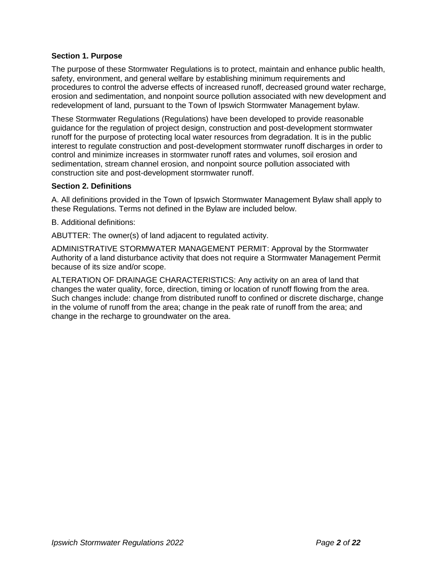## **Section 1. Purpose**

The purpose of these Stormwater Regulations is to protect, maintain and enhance public health, safety, environment, and general welfare by establishing minimum requirements and procedures to control the adverse effects of increased runoff, decreased ground water recharge, erosion and sedimentation, and nonpoint source pollution associated with new development and redevelopment of land, pursuant to the Town of Ipswich Stormwater Management bylaw.

These Stormwater Regulations (Regulations) have been developed to provide reasonable guidance for the regulation of project design, construction and post-development stormwater runoff for the purpose of protecting local water resources from degradation. It is in the public interest to regulate construction and post-development stormwater runoff discharges in order to control and minimize increases in stormwater runoff rates and volumes, soil erosion and sedimentation, stream channel erosion, and nonpoint source pollution associated with construction site and post-development stormwater runoff.

#### **Section 2. Definitions**

A. All definitions provided in the Town of Ipswich Stormwater Management Bylaw shall apply to these Regulations. Terms not defined in the Bylaw are included below.

B. Additional definitions:

ABUTTER: The owner(s) of land adjacent to regulated activity.

ADMINISTRATIVE STORMWATER MANAGEMENT PERMIT: Approval by the Stormwater Authority of a land disturbance activity that does not require a Stormwater Management Permit because of its size and/or scope.

ALTERATION OF DRAINAGE CHARACTERISTICS: Any activity on an area of land that changes the water quality, force, direction, timing or location of runoff flowing from the area. Such changes include: change from distributed runoff to confined or discrete discharge, change in the volume of runoff from the area; change in the peak rate of runoff from the area; and change in the recharge to groundwater on the area.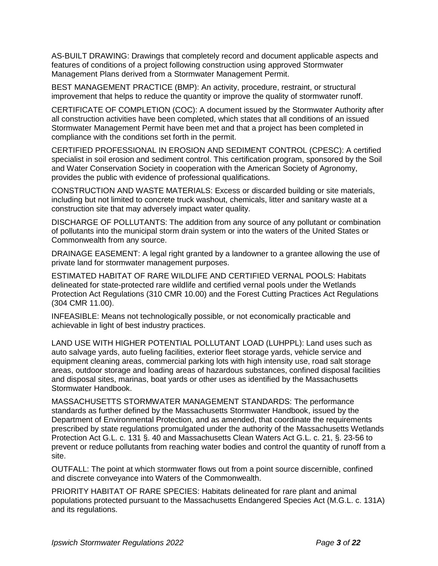AS-BUILT DRAWING: Drawings that completely record and document applicable aspects and features of conditions of a project following construction using approved Stormwater Management Plans derived from a Stormwater Management Permit.

BEST MANAGEMENT PRACTICE (BMP): An activity, procedure, restraint, or structural improvement that helps to reduce the quantity or improve the quality of stormwater runoff.

CERTIFICATE OF COMPLETION (COC): A document issued by the Stormwater Authority after all construction activities have been completed, which states that all conditions of an issued Stormwater Management Permit have been met and that a project has been completed in compliance with the conditions set forth in the permit.

CERTIFIED PROFESSIONAL IN EROSION AND SEDIMENT CONTROL (CPESC): A certified specialist in soil erosion and sediment control. This certification program, sponsored by the Soil and Water Conservation Society in cooperation with the American Society of Agronomy, provides the public with evidence of professional qualifications.

CONSTRUCTION AND WASTE MATERIALS: Excess or discarded building or site materials, including but not limited to concrete truck washout, chemicals, litter and sanitary waste at a construction site that may adversely impact water quality.

DISCHARGE OF POLLUTANTS: The addition from any source of any pollutant or combination of pollutants into the municipal storm drain system or into the waters of the United States or Commonwealth from any source.

DRAINAGE EASEMENT: A legal right granted by a landowner to a grantee allowing the use of private land for stormwater management purposes.

ESTIMATED HABITAT OF RARE WILDLIFE AND CERTIFIED VERNAL POOLS: Habitats delineated for state-protected rare wildlife and certified vernal pools under the Wetlands Protection Act Regulations (310 CMR 10.00) and the Forest Cutting Practices Act Regulations (304 CMR 11.00).

INFEASIBLE: Means not technologically possible, or not economically practicable and achievable in light of best industry practices.

LAND USE WITH HIGHER POTENTIAL POLLUTANT LOAD (LUHPPL): Land uses such as auto salvage yards, auto fueling facilities, exterior fleet storage yards, vehicle service and equipment cleaning areas, commercial parking lots with high intensity use, road salt storage areas, outdoor storage and loading areas of hazardous substances, confined disposal facilities and disposal sites, marinas, boat yards or other uses as identified by the Massachusetts Stormwater Handbook.

MASSACHUSETTS STORMWATER MANAGEMENT STANDARDS: The performance standards as further defined by the Massachusetts Stormwater Handbook, issued by the Department of Environmental Protection, and as amended, that coordinate the requirements prescribed by state regulations promulgated under the authority of the Massachusetts Wetlands Protection Act G.L. c. 131 §. 40 and Massachusetts Clean Waters Act G.L. c. 21, §. 23-56 to prevent or reduce pollutants from reaching water bodies and control the quantity of runoff from a site.

OUTFALL: The point at which stormwater flows out from a point source discernible, confined and discrete conveyance into Waters of the Commonwealth.

PRIORITY HABITAT OF RARE SPECIES: Habitats delineated for rare plant and animal populations protected pursuant to the Massachusetts Endangered Species Act (M.G.L. c. 131A) and its regulations.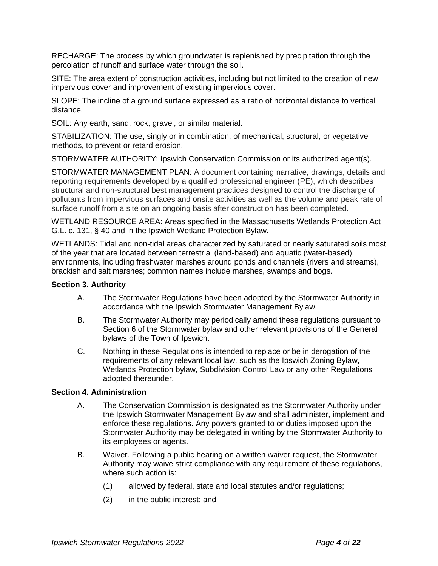RECHARGE: The process by which groundwater is replenished by precipitation through the percolation of runoff and surface water through the soil.

SITE: The area extent of construction activities, including but not limited to the creation of new impervious cover and improvement of existing impervious cover.

SLOPE: The incline of a ground surface expressed as a ratio of horizontal distance to vertical distance.

SOIL: Any earth, sand, rock, gravel, or similar material.

STABILIZATION: The use, singly or in combination, of mechanical, structural, or vegetative methods, to prevent or retard erosion.

STORMWATER AUTHORITY: Ipswich Conservation Commission or its authorized agent(s).

STORMWATER MANAGEMENT PLAN: A document containing narrative, drawings, details and reporting requirements developed by a qualified professional engineer (PE), which describes structural and non-structural best management practices designed to control the discharge of pollutants from impervious surfaces and onsite activities as well as the volume and peak rate of surface runoff from a site on an ongoing basis after construction has been completed.

WETLAND RESOURCE AREA: Areas specified in the Massachusetts Wetlands Protection Act G.L. c. 131, § 40 and in the Ipswich Wetland Protection Bylaw.

WETLANDS: Tidal and non-tidal areas characterized by saturated or nearly saturated soils most of the year that are located between terrestrial (land-based) and aquatic (water-based) environments, including freshwater marshes around ponds and channels (rivers and streams), brackish and salt marshes; common names include marshes, swamps and bogs.

#### **Section 3. Authority**

- A. The Stormwater Regulations have been adopted by the Stormwater Authority in accordance with the Ipswich Stormwater Management Bylaw.
- B. The Stormwater Authority may periodically amend these regulations pursuant to Section 6 of the Stormwater bylaw and other relevant provisions of the General bylaws of the Town of Ipswich.
- C. Nothing in these Regulations is intended to replace or be in derogation of the requirements of any relevant local law, such as the Ipswich Zoning Bylaw, Wetlands Protection bylaw, Subdivision Control Law or any other Regulations adopted thereunder.

## **Section 4. Administration**

- A. The Conservation Commission is designated as the Stormwater Authority under the Ipswich Stormwater Management Bylaw and shall administer, implement and enforce these regulations. Any powers granted to or duties imposed upon the Stormwater Authority may be delegated in writing by the Stormwater Authority to its employees or agents.
- B. Waiver. Following a public hearing on a written waiver request, the Stormwater Authority may waive strict compliance with any requirement of these regulations, where such action is:
	- (1) allowed by federal, state and local statutes and/or regulations;
	- (2) in the public interest; and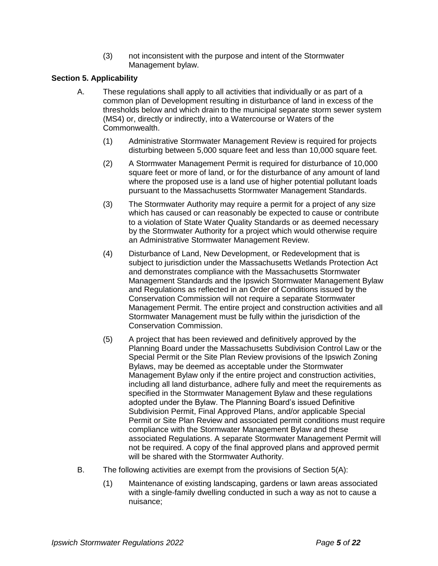(3) not inconsistent with the purpose and intent of the Stormwater Management bylaw.

## **Section 5. Applicability**

- A. These regulations shall apply to all activities that individually or as part of a common plan of Development resulting in disturbance of land in excess of the thresholds below and which drain to the municipal separate storm sewer system (MS4) or, directly or indirectly, into a Watercourse or Waters of the Commonwealth.
	- (1) Administrative Stormwater Management Review is required for projects disturbing between 5,000 square feet and less than 10,000 square feet.
	- (2) A Stormwater Management Permit is required for disturbance of 10,000 square feet or more of land, or for the disturbance of any amount of land where the proposed use is a land use of higher potential pollutant loads pursuant to the Massachusetts Stormwater Management Standards.
	- (3) The Stormwater Authority may require a permit for a project of any size which has caused or can reasonably be expected to cause or contribute to a violation of State Water Quality Standards or as deemed necessary by the Stormwater Authority for a project which would otherwise require an Administrative Stormwater Management Review.
	- (4) Disturbance of Land, New Development, or Redevelopment that is subject to jurisdiction under the Massachusetts Wetlands Protection Act and demonstrates compliance with the Massachusetts Stormwater Management Standards and the Ipswich Stormwater Management Bylaw and Regulations as reflected in an Order of Conditions issued by the Conservation Commission will not require a separate Stormwater Management Permit. The entire project and construction activities and all Stormwater Management must be fully within the jurisdiction of the Conservation Commission.
	- (5) A project that has been reviewed and definitively approved by the Planning Board under the Massachusetts Subdivision Control Law or the Special Permit or the Site Plan Review provisions of the Ipswich Zoning Bylaws, may be deemed as acceptable under the Stormwater Management Bylaw only if the entire project and construction activities, including all land disturbance, adhere fully and meet the requirements as specified in the Stormwater Management Bylaw and these regulations adopted under the Bylaw. The Planning Board's issued Definitive Subdivision Permit, Final Approved Plans, and/or applicable Special Permit or Site Plan Review and associated permit conditions must require compliance with the Stormwater Management Bylaw and these associated Regulations. A separate Stormwater Management Permit will not be required. A copy of the final approved plans and approved permit will be shared with the Stormwater Authority.
- B. The following activities are exempt from the provisions of Section 5(A):
	- (1) Maintenance of existing landscaping, gardens or lawn areas associated with a single-family dwelling conducted in such a way as not to cause a nuisance;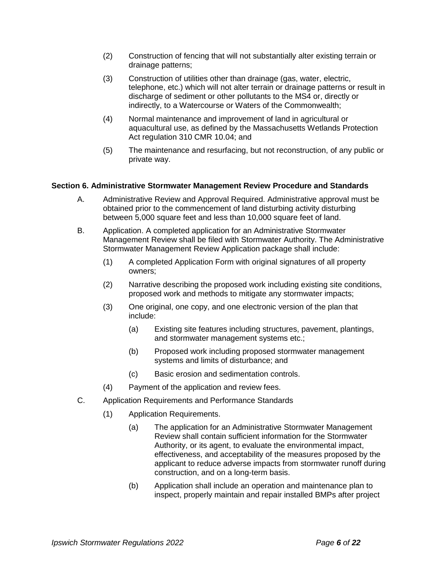- (2) Construction of fencing that will not substantially alter existing terrain or drainage patterns;
- (3) Construction of utilities other than drainage (gas, water, electric, telephone, etc.) which will not alter terrain or drainage patterns or result in discharge of sediment or other pollutants to the MS4 or, directly or indirectly, to a Watercourse or Waters of the Commonwealth;
- (4) Normal maintenance and improvement of land in agricultural or aquacultural use, as defined by the Massachusetts Wetlands Protection Act regulation 310 CMR 10.04; and
- (5) The maintenance and resurfacing, but not reconstruction, of any public or private way.

## **Section 6. Administrative Stormwater Management Review Procedure and Standards**

- A. Administrative Review and Approval Required. Administrative approval must be obtained prior to the commencement of land disturbing activity disturbing between 5,000 square feet and less than 10,000 square feet of land.
- B. Application. A completed application for an Administrative Stormwater Management Review shall be filed with Stormwater Authority. The Administrative Stormwater Management Review Application package shall include:
	- (1) A completed Application Form with original signatures of all property owners;
	- (2) Narrative describing the proposed work including existing site conditions, proposed work and methods to mitigate any stormwater impacts;
	- (3) One original, one copy, and one electronic version of the plan that include:
		- (a) Existing site features including structures, pavement, plantings, and stormwater management systems etc.;
		- (b) Proposed work including proposed stormwater management systems and limits of disturbance; and
		- (c) Basic erosion and sedimentation controls.
	- (4) Payment of the application and review fees.
- C. Application Requirements and Performance Standards
	- (1) Application Requirements.
		- (a) The application for an Administrative Stormwater Management Review shall contain sufficient information for the Stormwater Authority, or its agent, to evaluate the environmental impact, effectiveness, and acceptability of the measures proposed by the applicant to reduce adverse impacts from stormwater runoff during construction, and on a long-term basis.
		- (b) Application shall include an operation and maintenance plan to inspect, properly maintain and repair installed BMPs after project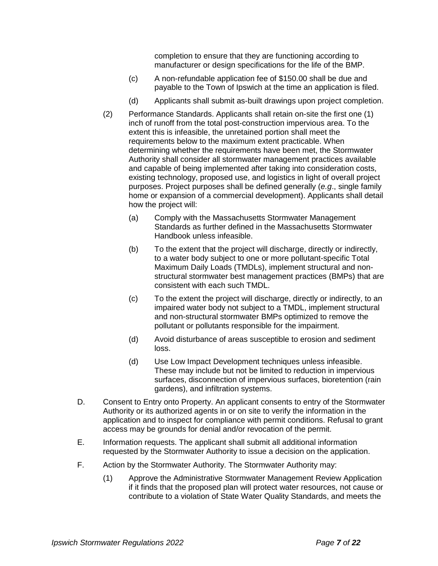completion to ensure that they are functioning according to manufacturer or design specifications for the life of the BMP.

- (c) A non-refundable application fee of \$150.00 shall be due and payable to the Town of Ipswich at the time an application is filed.
- (d) Applicants shall submit as-built drawings upon project completion.
- (2) Performance Standards. Applicants shall retain on-site the first one (1) inch of runoff from the total post-construction impervious area. To the extent this is infeasible, the unretained portion shall meet the requirements below to the maximum extent practicable. When determining whether the requirements have been met, the Stormwater Authority shall consider all stormwater management practices available and capable of being implemented after taking into consideration costs, existing technology, proposed use, and logistics in light of overall project purposes. Project purposes shall be defined generally (*e.g*., single family home or expansion of a commercial development). Applicants shall detail how the project will:
	- (a) Comply with the Massachusetts Stormwater Management Standards as further defined in the Massachusetts Stormwater Handbook unless infeasible.
	- (b) To the extent that the project will discharge, directly or indirectly, to a water body subject to one or more pollutant-specific Total Maximum Daily Loads (TMDLs), implement structural and nonstructural stormwater best management practices (BMPs) that are consistent with each such TMDL.
	- (c) To the extent the project will discharge, directly or indirectly, to an impaired water body not subject to a TMDL, implement structural and non-structural stormwater BMPs optimized to remove the pollutant or pollutants responsible for the impairment.
	- (d) Avoid disturbance of areas susceptible to erosion and sediment loss.
	- (d) Use Low Impact Development techniques unless infeasible. These may include but not be limited to reduction in impervious surfaces, disconnection of impervious surfaces, bioretention (rain gardens), and infiltration systems.
- D. Consent to Entry onto Property. An applicant consents to entry of the Stormwater Authority or its authorized agents in or on site to verify the information in the application and to inspect for compliance with permit conditions. Refusal to grant access may be grounds for denial and/or revocation of the permit.
- E. Information requests. The applicant shall submit all additional information requested by the Stormwater Authority to issue a decision on the application.
- F. Action by the Stormwater Authority. The Stormwater Authority may:
	- (1) Approve the Administrative Stormwater Management Review Application if it finds that the proposed plan will protect water resources, not cause or contribute to a violation of State Water Quality Standards, and meets the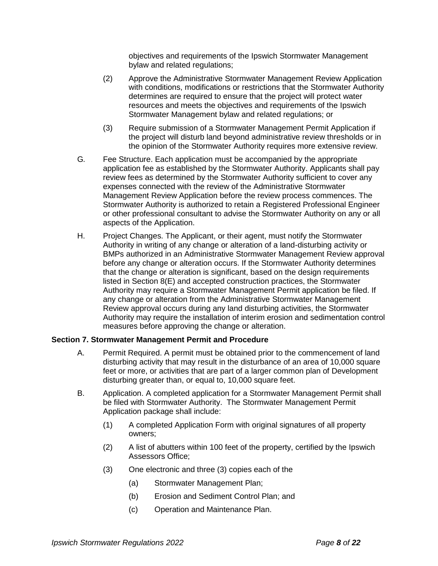objectives and requirements of the Ipswich Stormwater Management bylaw and related regulations;

- (2) Approve the Administrative Stormwater Management Review Application with conditions, modifications or restrictions that the Stormwater Authority determines are required to ensure that the project will protect water resources and meets the objectives and requirements of the Ipswich Stormwater Management bylaw and related regulations; or
- (3) Require submission of a Stormwater Management Permit Application if the project will disturb land beyond administrative review thresholds or in the opinion of the Stormwater Authority requires more extensive review.
- G*.* Fee Structure. Each application must be accompanied by the appropriate application fee as established by the Stormwater Authority. Applicants shall pay review fees as determined by the Stormwater Authority sufficient to cover any expenses connected with the review of the Administrative Stormwater Management Review Application before the review process commences. The Stormwater Authority is authorized to retain a Registered Professional Engineer or other professional consultant to advise the Stormwater Authority on any or all aspects of the Application.
- H. Project Changes. The Applicant, or their agent, must notify the Stormwater Authority in writing of any change or alteration of a land-disturbing activity or BMPs authorized in an Administrative Stormwater Management Review approval before any change or alteration occurs. If the Stormwater Authority determines that the change or alteration is significant, based on the design requirements listed in Section 8(E) and accepted construction practices, the Stormwater Authority may require a Stormwater Management Permit application be filed. If any change or alteration from the Administrative Stormwater Management Review approval occurs during any land disturbing activities, the Stormwater Authority may require the installation of interim erosion and sedimentation control measures before approving the change or alteration.

#### **Section 7. Stormwater Management Permit and Procedure**

- A. Permit Required. A permit must be obtained prior to the commencement of land disturbing activity that may result in the disturbance of an area of 10,000 square feet or more, or activities that are part of a larger common plan of Development disturbing greater than, or equal to, 10,000 square feet.
- B. Application. A completed application for a Stormwater Management Permit shall be filed with Stormwater Authority. The Stormwater Management Permit Application package shall include:
	- (1) A completed Application Form with original signatures of all property owners;
	- (2) A list of abutters within 100 feet of the property, certified by the Ipswich Assessors Office;
	- (3) One electronic and three (3) copies each of the
		- (a) Stormwater Management Plan;
		- (b) Erosion and Sediment Control Plan; and
		- (c) Operation and Maintenance Plan.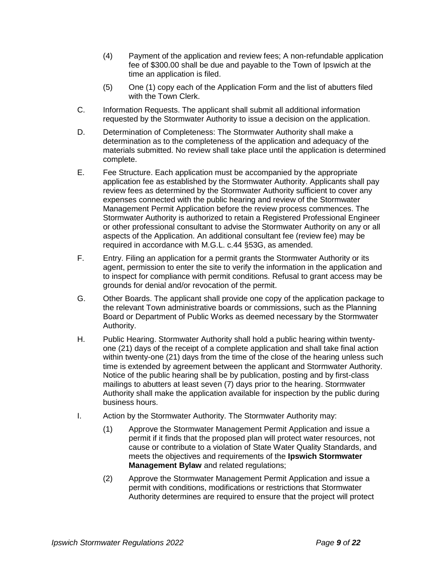- (4) Payment of the application and review fees; A non-refundable application fee of \$300.00 shall be due and payable to the Town of Ipswich at the time an application is filed.
- (5) One (1) copy each of the Application Form and the list of abutters filed with the Town Clerk.
- C. Information Requests. The applicant shall submit all additional information requested by the Stormwater Authority to issue a decision on the application.
- D. Determination of Completeness: The Stormwater Authority shall make a determination as to the completeness of the application and adequacy of the materials submitted. No review shall take place until the application is determined complete.
- E. Fee Structure. Each application must be accompanied by the appropriate application fee as established by the Stormwater Authority. Applicants shall pay review fees as determined by the Stormwater Authority sufficient to cover any expenses connected with the public hearing and review of the Stormwater Management Permit Application before the review process commences. The Stormwater Authority is authorized to retain a Registered Professional Engineer or other professional consultant to advise the Stormwater Authority on any or all aspects of the Application. An additional consultant fee (review fee) may be required in accordance with M.G.L. c.44 §53G, as amended.
- F. Entry. Filing an application for a permit grants the Stormwater Authority or its agent, permission to enter the site to verify the information in the application and to inspect for compliance with permit conditions. Refusal to grant access may be grounds for denial and/or revocation of the permit.
- G. Other Boards. The applicant shall provide one copy of the application package to the relevant Town administrative boards or commissions, such as the Planning Board or Department of Public Works as deemed necessary by the Stormwater Authority.
- H. Public Hearing. Stormwater Authority shall hold a public hearing within twentyone (21) days of the receipt of a complete application and shall take final action within twenty-one (21) days from the time of the close of the hearing unless such time is extended by agreement between the applicant and Stormwater Authority. Notice of the public hearing shall be by publication, posting and by first-class mailings to abutters at least seven (7) days prior to the hearing. Stormwater Authority shall make the application available for inspection by the public during business hours.
- I. Action by the Stormwater Authority. The Stormwater Authority may:
	- (1) Approve the Stormwater Management Permit Application and issue a permit if it finds that the proposed plan will protect water resources, not cause or contribute to a violation of State Water Quality Standards, and meets the objectives and requirements of the **Ipswich Stormwater Management Bylaw** and related regulations;
	- (2) Approve the Stormwater Management Permit Application and issue a permit with conditions, modifications or restrictions that Stormwater Authority determines are required to ensure that the project will protect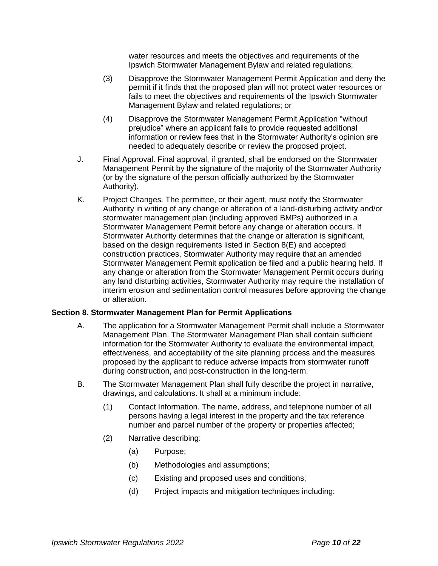water resources and meets the objectives and requirements of the Ipswich Stormwater Management Bylaw and related regulations;

- (3) Disapprove the Stormwater Management Permit Application and deny the permit if it finds that the proposed plan will not protect water resources or fails to meet the objectives and requirements of the Ipswich Stormwater Management Bylaw and related regulations; or
- (4) Disapprove the Stormwater Management Permit Application "without prejudice" where an applicant fails to provide requested additional information or review fees that in the Stormwater Authority's opinion are needed to adequately describe or review the proposed project.
- J. Final Approval. Final approval, if granted, shall be endorsed on the Stormwater Management Permit by the signature of the majority of the Stormwater Authority (or by the signature of the person officially authorized by the Stormwater Authority).
- K. Project Changes. The permittee, or their agent, must notify the Stormwater Authority in writing of any change or alteration of a land-disturbing activity and/or stormwater management plan (including approved BMPs) authorized in a Stormwater Management Permit before any change or alteration occurs. If Stormwater Authority determines that the change or alteration is significant, based on the design requirements listed in Section 8(E) and accepted construction practices, Stormwater Authority may require that an amended Stormwater Management Permit application be filed and a public hearing held. If any change or alteration from the Stormwater Management Permit occurs during any land disturbing activities, Stormwater Authority may require the installation of interim erosion and sedimentation control measures before approving the change or alteration.

## **Section 8. Stormwater Management Plan for Permit Applications**

- A. The application for a Stormwater Management Permit shall include a Stormwater Management Plan. The Stormwater Management Plan shall contain sufficient information for the Stormwater Authority to evaluate the environmental impact, effectiveness, and acceptability of the site planning process and the measures proposed by the applicant to reduce adverse impacts from stormwater runoff during construction, and post-construction in the long-term.
- B. The Stormwater Management Plan shall fully describe the project in narrative, drawings, and calculations. It shall at a minimum include:
	- (1) Contact Information. The name, address, and telephone number of all persons having a legal interest in the property and the tax reference number and parcel number of the property or properties affected;
	- (2) Narrative describing:
		- (a) Purpose;
		- (b) Methodologies and assumptions;
		- (c) Existing and proposed uses and conditions;
		- (d) Project impacts and mitigation techniques including: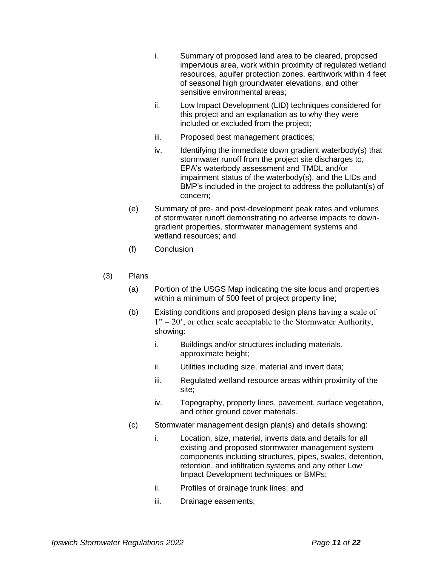- i. Summary of proposed land area to be cleared, proposed impervious area, work within proximity of regulated wetland resources, aquifer protection zones, earthwork within 4 feet of seasonal high groundwater elevations, and other sensitive environmental areas;
- ii. Low Impact Development (LID) techniques considered for this project and an explanation as to why they were included or excluded from the project;
- iii. Proposed best management practices;
- iv. Identifying the immediate down gradient waterbody(s) that stormwater runoff from the project site discharges to, EPA's waterbody assessment and TMDL and/or impairment status of the waterbody(s), and the LIDs and BMP's included in the project to address the pollutant(s) of concern;
- (e) Summary of pre- and post-development peak rates and volumes of stormwater runoff demonstrating no adverse impacts to downgradient properties, stormwater management systems and wetland resources; and
- (f) Conclusion
- (3) Plans
	- (a) Portion of the USGS Map indicating the site locus and properties within a minimum of 500 feet of project property line;
	- (b) Existing conditions and proposed design plans having a scale of  $1" = 20"$ , or other scale acceptable to the Stormwater Authority, showing:
		- i. Buildings and/or structures including materials, approximate height;
		- ii. Utilities including size, material and invert data;
		- iii. Regulated wetland resource areas within proximity of the site;
		- iv. Topography, property lines, pavement, surface vegetation, and other ground cover materials.
	- (c) Stormwater management design plan(s) and details showing:
		- i. Location, size, material, inverts data and details for all existing and proposed stormwater management system components including structures, pipes, swales, detention, retention, and infiltration systems and any other Low Impact Development techniques or BMPs;
		- ii. Profiles of drainage trunk lines; and
		- iii. Drainage easements;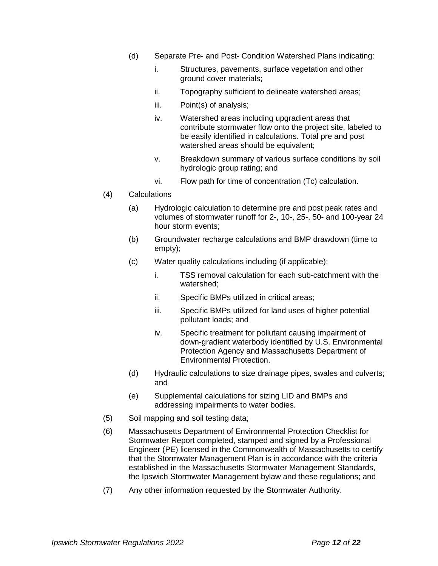- (d) Separate Pre- and Post- Condition Watershed Plans indicating:
	- i. Structures, pavements, surface vegetation and other ground cover materials;
	- ii. Topography sufficient to delineate watershed areas;
	- iii. Point(s) of analysis;
	- iv. Watershed areas including upgradient areas that contribute stormwater flow onto the project site, labeled to be easily identified in calculations. Total pre and post watershed areas should be equivalent;
	- v. Breakdown summary of various surface conditions by soil hydrologic group rating; and
	- vi. Flow path for time of concentration (Tc) calculation.
- (4) Calculations
	- (a) Hydrologic calculation to determine pre and post peak rates and volumes of stormwater runoff for 2-, 10-, 25-, 50- and 100-year 24 hour storm events;
	- (b) Groundwater recharge calculations and BMP drawdown (time to empty);
	- (c) Water quality calculations including (if applicable):
		- i. TSS removal calculation for each sub-catchment with the watershed;
		- ii. Specific BMPs utilized in critical areas;
		- iii. Specific BMPs utilized for land uses of higher potential pollutant loads; and
		- iv. Specific treatment for pollutant causing impairment of down-gradient waterbody identified by U.S. Environmental Protection Agency and Massachusetts Department of Environmental Protection.
	- (d) Hydraulic calculations to size drainage pipes, swales and culverts; and
	- (e) Supplemental calculations for sizing LID and BMPs and addressing impairments to water bodies.
- (5) Soil mapping and soil testing data;
- (6) Massachusetts Department of Environmental Protection Checklist for Stormwater Report completed, stamped and signed by a Professional Engineer (PE) licensed in the Commonwealth of Massachusetts to certify that the Stormwater Management Plan is in accordance with the criteria established in the Massachusetts Stormwater Management Standards, the Ipswich Stormwater Management bylaw and these regulations; and
- (7) Any other information requested by the Stormwater Authority.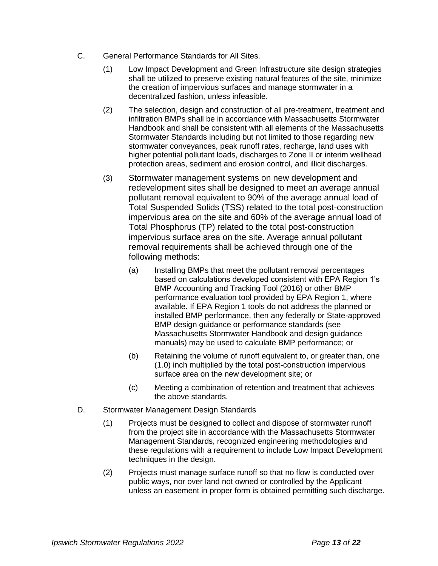- C. General Performance Standards for All Sites.
	- (1) Low Impact Development and Green Infrastructure site design strategies shall be utilized to preserve existing natural features of the site, minimize the creation of impervious surfaces and manage stormwater in a decentralized fashion, unless infeasible.
	- (2) The selection, design and construction of all pre-treatment, treatment and infiltration BMPs shall be in accordance with Massachusetts Stormwater Handbook and shall be consistent with all elements of the Massachusetts Stormwater Standards including but not limited to those regarding new stormwater conveyances, peak runoff rates, recharge, land uses with higher potential pollutant loads, discharges to Zone II or interim wellhead protection areas, sediment and erosion control, and illicit discharges.
	- (3) Stormwater management systems on new development and redevelopment sites shall be designed to meet an average annual pollutant removal equivalent to 90% of the average annual load of Total Suspended Solids (TSS) related to the total post-construction impervious area on the site and 60% of the average annual load of Total Phosphorus (TP) related to the total post-construction impervious surface area on the site. Average annual pollutant removal requirements shall be achieved through one of the following methods:
		- (a) Installing BMPs that meet the pollutant removal percentages based on calculations developed consistent with EPA Region 1's BMP Accounting and Tracking Tool (2016) or other BMP performance evaluation tool provided by EPA Region 1, where available. If EPA Region 1 tools do not address the planned or installed BMP performance, then any federally or State-approved BMP design guidance or performance standards (see Massachusetts Stormwater Handbook and design guidance manuals) may be used to calculate BMP performance; or
		- (b) Retaining the volume of runoff equivalent to, or greater than, one (1.0) inch multiplied by the total post-construction impervious surface area on the new development site; or
		- (c) Meeting a combination of retention and treatment that achieves the above standards.
- D. Stormwater Management Design Standards
	- (1) Projects must be designed to collect and dispose of stormwater runoff from the project site in accordance with the Massachusetts Stormwater Management Standards, recognized engineering methodologies and these regulations with a requirement to include Low Impact Development techniques in the design.
	- (2) Projects must manage surface runoff so that no flow is conducted over public ways, nor over land not owned or controlled by the Applicant unless an easement in proper form is obtained permitting such discharge.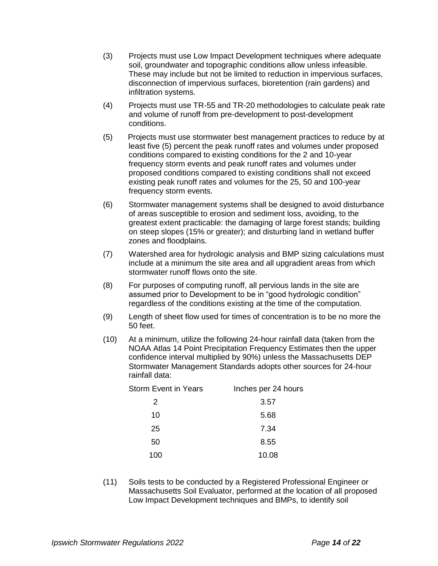- (3) Projects must use Low Impact Development techniques where adequate soil, groundwater and topographic conditions allow unless infeasible. These may include but not be limited to reduction in impervious surfaces, disconnection of impervious surfaces, bioretention (rain gardens) and infiltration systems.
- (4) Projects must use TR-55 and TR-20 methodologies to calculate peak rate and volume of runoff from pre-development to post-development conditions.
- (5) Projects must use stormwater best management practices to reduce by at least five (5) percent the peak runoff rates and volumes under proposed conditions compared to existing conditions for the 2 and 10-year frequency storm events and peak runoff rates and volumes under proposed conditions compared to existing conditions shall not exceed existing peak runoff rates and volumes for the 25, 50 and 100-year frequency storm events.
- (6) Stormwater management systems shall be designed to avoid disturbance of areas susceptible to erosion and sediment loss, avoiding, to the greatest extent practicable: the damaging of large forest stands; building on steep slopes (15% or greater); and disturbing land in wetland buffer zones and floodplains.
- (7) Watershed area for hydrologic analysis and BMP sizing calculations must include at a minimum the site area and all upgradient areas from which stormwater runoff flows onto the site.
- (8) For purposes of computing runoff, all pervious lands in the site are assumed prior to Development to be in "good hydrologic condition" regardless of the conditions existing at the time of the computation.
- (9) Length of sheet flow used for times of concentration is to be no more the 50 feet.
- (10) At a minimum, utilize the following 24-hour rainfall data (taken from the NOAA Atlas 14 Point Precipitation Frequency Estimates then the upper confidence interval multiplied by 90%) unless the Massachusetts DEP Stormwater Management Standards adopts other sources for 24-hour rainfall data:

| <b>Storm Event in Years</b> | Inches per 24 hours |
|-----------------------------|---------------------|
| 2                           | 3.57                |
| 10                          | 5.68                |
| 25                          | 7.34                |
| 50                          | 8.55                |
| 100                         | 10.08               |

(11) Soils tests to be conducted by a Registered Professional Engineer or Massachusetts Soil Evaluator, performed at the location of all proposed Low Impact Development techniques and BMPs, to identify soil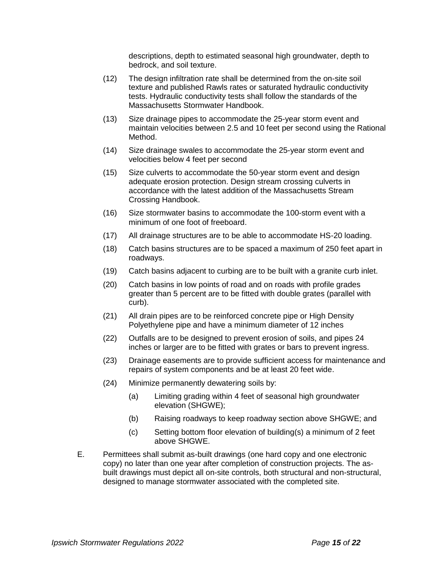descriptions, depth to estimated seasonal high groundwater, depth to bedrock, and soil texture.

- (12) The design infiltration rate shall be determined from the on-site soil texture and published Rawls rates or saturated hydraulic conductivity tests. Hydraulic conductivity tests shall follow the standards of the Massachusetts Stormwater Handbook.
- (13) Size drainage pipes to accommodate the 25-year storm event and maintain velocities between 2.5 and 10 feet per second using the Rational Method.
- (14) Size drainage swales to accommodate the 25-year storm event and velocities below 4 feet per second
- (15) Size culverts to accommodate the 50-year storm event and design adequate erosion protection. Design stream crossing culverts in accordance with the latest addition of the Massachusetts Stream Crossing Handbook.
- (16) Size stormwater basins to accommodate the 100-storm event with a minimum of one foot of freeboard.
- (17) All drainage structures are to be able to accommodate HS-20 loading.
- (18) Catch basins structures are to be spaced a maximum of 250 feet apart in roadways.
- (19) Catch basins adjacent to curbing are to be built with a granite curb inlet.
- (20) Catch basins in low points of road and on roads with profile grades greater than 5 percent are to be fitted with double grates (parallel with curb).
- (21) All drain pipes are to be reinforced concrete pipe or High Density Polyethylene pipe and have a minimum diameter of 12 inches
- (22) Outfalls are to be designed to prevent erosion of soils, and pipes 24 inches or larger are to be fitted with grates or bars to prevent ingress.
- (23) Drainage easements are to provide sufficient access for maintenance and repairs of system components and be at least 20 feet wide.
- (24) Minimize permanently dewatering soils by:
	- (a) Limiting grading within 4 feet of seasonal high groundwater elevation (SHGWE);
	- (b) Raising roadways to keep roadway section above SHGWE; and
	- (c) Setting bottom floor elevation of building(s) a minimum of 2 feet above SHGWE.
- E. Permittees shall submit as-built drawings (one hard copy and one electronic copy) no later than one year after completion of construction projects. The asbuilt drawings must depict all on-site controls, both structural and non-structural, designed to manage stormwater associated with the completed site.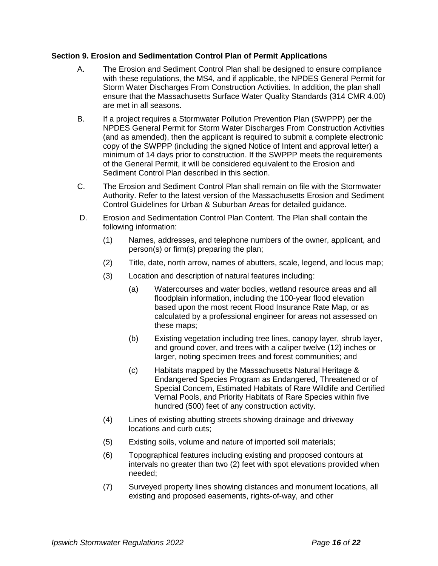## **Section 9. Erosion and Sedimentation Control Plan of Permit Applications**

- A. The Erosion and Sediment Control Plan shall be designed to ensure compliance with these regulations, the MS4, and if applicable, the NPDES General Permit for Storm Water Discharges From Construction Activities. In addition, the plan shall ensure that the Massachusetts Surface Water Quality Standards (314 CMR 4.00) are met in all seasons.
- B. If a project requires a Stormwater Pollution Prevention Plan (SWPPP) per the NPDES General Permit for Storm Water Discharges From Construction Activities (and as amended), then the applicant is required to submit a complete electronic copy of the SWPPP (including the signed Notice of Intent and approval letter) a minimum of 14 days prior to construction. If the SWPPP meets the requirements of the General Permit, it will be considered equivalent to the Erosion and Sediment Control Plan described in this section.
- C. The Erosion and Sediment Control Plan shall remain on file with the Stormwater Authority. Refer to the latest version of the Massachusetts Erosion and Sediment Control Guidelines for Urban & Suburban Areas for detailed guidance.
- D. Erosion and Sedimentation Control Plan Content. The Plan shall contain the following information:
	- (1) Names, addresses, and telephone numbers of the owner, applicant, and person(s) or firm(s) preparing the plan;
	- (2) Title, date, north arrow, names of abutters, scale, legend, and locus map;
	- (3) Location and description of natural features including:
		- (a) Watercourses and water bodies, wetland resource areas and all floodplain information, including the 100-year flood elevation based upon the most recent Flood Insurance Rate Map, or as calculated by a professional engineer for areas not assessed on these maps;
		- (b) Existing vegetation including tree lines, canopy layer, shrub layer, and ground cover, and trees with a caliper twelve (12) inches or larger, noting specimen trees and forest communities; and
		- (c) Habitats mapped by the Massachusetts Natural Heritage & Endangered Species Program as Endangered, Threatened or of Special Concern, Estimated Habitats of Rare Wildlife and Certified Vernal Pools, and Priority Habitats of Rare Species within five hundred (500) feet of any construction activity.
	- (4) Lines of existing abutting streets showing drainage and driveway locations and curb cuts;
	- (5) Existing soils, volume and nature of imported soil materials;
	- (6) Topographical features including existing and proposed contours at intervals no greater than two (2) feet with spot elevations provided when needed;
	- (7) Surveyed property lines showing distances and monument locations, all existing and proposed easements, rights-of-way, and other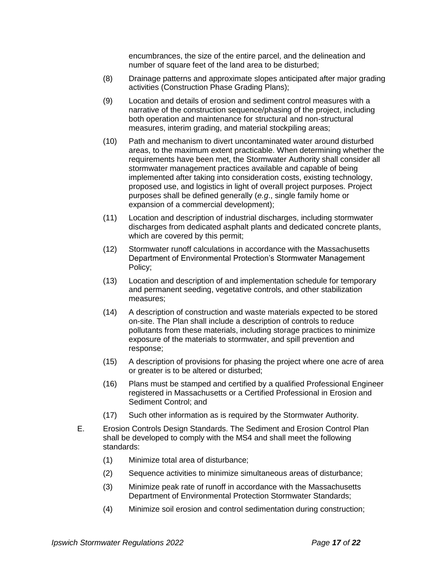encumbrances, the size of the entire parcel, and the delineation and number of square feet of the land area to be disturbed;

- (8) Drainage patterns and approximate slopes anticipated after major grading activities (Construction Phase Grading Plans);
- (9) Location and details of erosion and sediment control measures with a narrative of the construction sequence/phasing of the project, including both operation and maintenance for structural and non-structural measures, interim grading, and material stockpiling areas;
- (10) Path and mechanism to divert uncontaminated water around disturbed areas, to the maximum extent practicable. When determining whether the requirements have been met, the Stormwater Authority shall consider all stormwater management practices available and capable of being implemented after taking into consideration costs, existing technology, proposed use, and logistics in light of overall project purposes. Project purposes shall be defined generally (*e.g*., single family home or expansion of a commercial development);
- (11) Location and description of industrial discharges, including stormwater discharges from dedicated asphalt plants and dedicated concrete plants, which are covered by this permit;
- (12) Stormwater runoff calculations in accordance with the Massachusetts Department of Environmental Protection's Stormwater Management Policy;
- (13) Location and description of and implementation schedule for temporary and permanent seeding, vegetative controls, and other stabilization measures;
- (14) A description of construction and waste materials expected to be stored on-site. The Plan shall include a description of controls to reduce pollutants from these materials, including storage practices to minimize exposure of the materials to stormwater, and spill prevention and response;
- (15) A description of provisions for phasing the project where one acre of area or greater is to be altered or disturbed;
- (16) Plans must be stamped and certified by a qualified Professional Engineer registered in Massachusetts or a Certified Professional in Erosion and Sediment Control; and
- (17) Such other information as is required by the Stormwater Authority.
- E. Erosion Controls Design Standards. The Sediment and Erosion Control Plan shall be developed to comply with the MS4 and shall meet the following standards:
	- (1) Minimize total area of disturbance;
	- (2) Sequence activities to minimize simultaneous areas of disturbance;
	- (3) Minimize peak rate of runoff in accordance with the Massachusetts Department of Environmental Protection Stormwater Standards;
	- (4) Minimize soil erosion and control sedimentation during construction;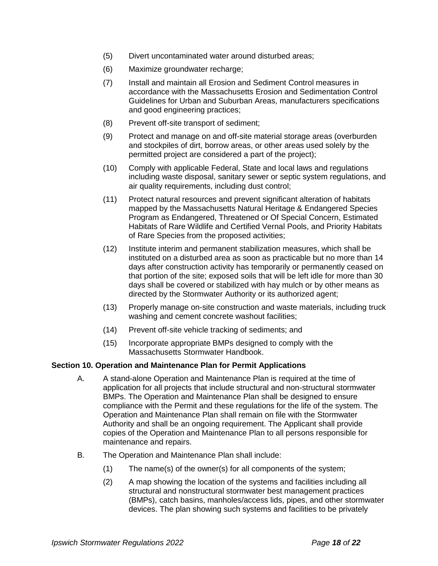- (5) Divert uncontaminated water around disturbed areas;
- (6) Maximize groundwater recharge;
- (7) Install and maintain all Erosion and Sediment Control measures in accordance with the Massachusetts Erosion and Sedimentation Control Guidelines for Urban and Suburban Areas, manufacturers specifications and good engineering practices;
- (8) Prevent off-site transport of sediment;
- (9) Protect and manage on and off-site material storage areas (overburden and stockpiles of dirt, borrow areas, or other areas used solely by the permitted project are considered a part of the project);
- (10) Comply with applicable Federal, State and local laws and regulations including waste disposal, sanitary sewer or septic system regulations, and air quality requirements, including dust control;
- (11) Protect natural resources and prevent significant alteration of habitats mapped by the Massachusetts Natural Heritage & Endangered Species Program as Endangered, Threatened or Of Special Concern, Estimated Habitats of Rare Wildlife and Certified Vernal Pools, and Priority Habitats of Rare Species from the proposed activities;
- (12) Institute interim and permanent stabilization measures, which shall be instituted on a disturbed area as soon as practicable but no more than 14 days after construction activity has temporarily or permanently ceased on that portion of the site; exposed soils that will be left idle for more than 30 days shall be covered or stabilized with hay mulch or by other means as directed by the Stormwater Authority or its authorized agent;
- (13) Properly manage on-site construction and waste materials, including truck washing and cement concrete washout facilities;
- (14) Prevent off-site vehicle tracking of sediments; and
- (15) Incorporate appropriate BMPs designed to comply with the Massachusetts Stormwater Handbook.

## **Section 10. Operation and Maintenance Plan for Permit Applications**

- A. A stand-alone Operation and Maintenance Plan is required at the time of application for all projects that include structural and non-structural stormwater BMPs. The Operation and Maintenance Plan shall be designed to ensure compliance with the Permit and these regulations for the life of the system. The Operation and Maintenance Plan shall remain on file with the Stormwater Authority and shall be an ongoing requirement. The Applicant shall provide copies of the Operation and Maintenance Plan to all persons responsible for maintenance and repairs.
- B. The Operation and Maintenance Plan shall include:
	- (1) The name(s) of the owner(s) for all components of the system;
	- (2) A map showing the location of the systems and facilities including all structural and nonstructural stormwater best management practices (BMPs), catch basins, manholes/access lids, pipes, and other stormwater devices. The plan showing such systems and facilities to be privately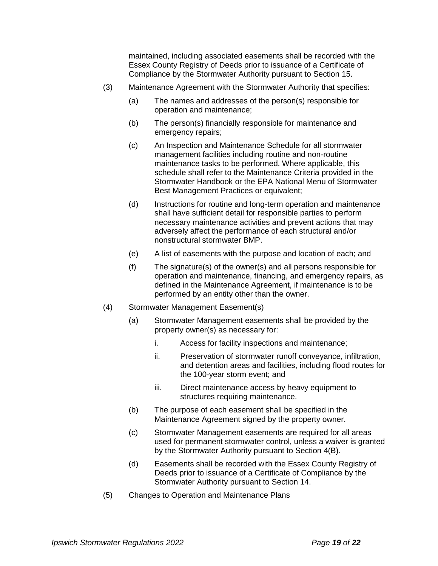maintained, including associated easements shall be recorded with the Essex County Registry of Deeds prior to issuance of a Certificate of Compliance by the Stormwater Authority pursuant to Section 15.

- (3) Maintenance Agreement with the Stormwater Authority that specifies:
	- (a) The names and addresses of the person(s) responsible for operation and maintenance;
	- (b) The person(s) financially responsible for maintenance and emergency repairs;
	- (c) An Inspection and Maintenance Schedule for all stormwater management facilities including routine and non-routine maintenance tasks to be performed. Where applicable, this schedule shall refer to the Maintenance Criteria provided in the Stormwater Handbook or the EPA National Menu of Stormwater Best Management Practices or equivalent;
	- (d) Instructions for routine and long-term operation and maintenance shall have sufficient detail for responsible parties to perform necessary maintenance activities and prevent actions that may adversely affect the performance of each structural and/or nonstructural stormwater BMP.
	- (e) A list of easements with the purpose and location of each; and
	- (f) The signature(s) of the owner(s) and all persons responsible for operation and maintenance, financing, and emergency repairs, as defined in the Maintenance Agreement, if maintenance is to be performed by an entity other than the owner.
- (4) Stormwater Management Easement(s)
	- (a) Stormwater Management easements shall be provided by the property owner(s) as necessary for:
		- i. Access for facility inspections and maintenance;
		- ii. Preservation of stormwater runoff conveyance, infiltration, and detention areas and facilities, including flood routes for the 100-year storm event; and
		- iii. Direct maintenance access by heavy equipment to structures requiring maintenance.
	- (b) The purpose of each easement shall be specified in the Maintenance Agreement signed by the property owner.
	- (c) Stormwater Management easements are required for all areas used for permanent stormwater control, unless a waiver is granted by the Stormwater Authority pursuant to Section 4(B).
	- (d) Easements shall be recorded with the Essex County Registry of Deeds prior to issuance of a Certificate of Compliance by the Stormwater Authority pursuant to Section 14.
- (5) Changes to Operation and Maintenance Plans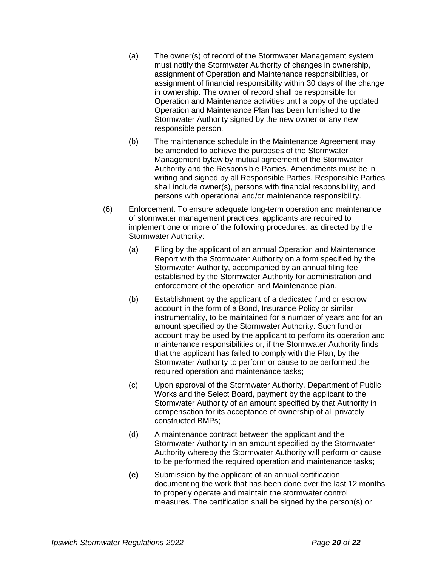- (a) The owner(s) of record of the Stormwater Management system must notify the Stormwater Authority of changes in ownership, assignment of Operation and Maintenance responsibilities, or assignment of financial responsibility within 30 days of the change in ownership. The owner of record shall be responsible for Operation and Maintenance activities until a copy of the updated Operation and Maintenance Plan has been furnished to the Stormwater Authority signed by the new owner or any new responsible person.
- (b) The maintenance schedule in the Maintenance Agreement may be amended to achieve the purposes of the Stormwater Management bylaw by mutual agreement of the Stormwater Authority and the Responsible Parties. Amendments must be in writing and signed by all Responsible Parties. Responsible Parties shall include owner(s), persons with financial responsibility, and persons with operational and/or maintenance responsibility.
- (6) Enforcement. To ensure adequate long-term operation and maintenance of stormwater management practices, applicants are required to implement one or more of the following procedures, as directed by the Stormwater Authority:
	- (a) Filing by the applicant of an annual Operation and Maintenance Report with the Stormwater Authority on a form specified by the Stormwater Authority, accompanied by an annual filing fee established by the Stormwater Authority for administration and enforcement of the operation and Maintenance plan.
	- (b) Establishment by the applicant of a dedicated fund or escrow account in the form of a Bond, Insurance Policy or similar instrumentality, to be maintained for a number of years and for an amount specified by the Stormwater Authority. Such fund or account may be used by the applicant to perform its operation and maintenance responsibilities or, if the Stormwater Authority finds that the applicant has failed to comply with the Plan, by the Stormwater Authority to perform or cause to be performed the required operation and maintenance tasks;
	- (c) Upon approval of the Stormwater Authority, Department of Public Works and the Select Board, payment by the applicant to the Stormwater Authority of an amount specified by that Authority in compensation for its acceptance of ownership of all privately constructed BMPs;
	- (d) A maintenance contract between the applicant and the Stormwater Authority in an amount specified by the Stormwater Authority whereby the Stormwater Authority will perform or cause to be performed the required operation and maintenance tasks;
	- **(e)** Submission by the applicant of an annual certification documenting the work that has been done over the last 12 months to properly operate and maintain the stormwater control measures. The certification shall be signed by the person(s) or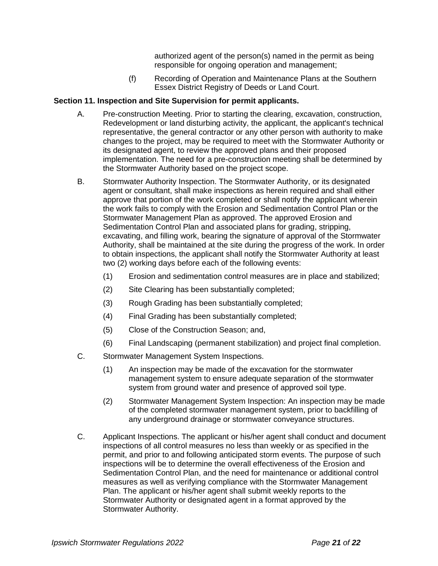authorized agent of the person(s) named in the permit as being responsible for ongoing operation and management;

(f) Recording of Operation and Maintenance Plans at the Southern Essex District Registry of Deeds or Land Court.

## **Section 11. Inspection and Site Supervision for permit applicants.**

- A. Pre-construction Meeting. Prior to starting the clearing, excavation, construction, Redevelopment or land disturbing activity, the applicant, the applicant's technical representative, the general contractor or any other person with authority to make changes to the project, may be required to meet with the Stormwater Authority or its designated agent, to review the approved plans and their proposed implementation. The need for a pre-construction meeting shall be determined by the Stormwater Authority based on the project scope.
- B. Stormwater Authority Inspection. The Stormwater Authority, or its designated agent or consultant, shall make inspections as herein required and shall either approve that portion of the work completed or shall notify the applicant wherein the work fails to comply with the Erosion and Sedimentation Control Plan or the Stormwater Management Plan as approved. The approved Erosion and Sedimentation Control Plan and associated plans for grading, stripping, excavating, and filling work, bearing the signature of approval of the Stormwater Authority, shall be maintained at the site during the progress of the work. In order to obtain inspections, the applicant shall notify the Stormwater Authority at least two (2) working days before each of the following events:
	- (1) Erosion and sedimentation control measures are in place and stabilized;
	- (2) Site Clearing has been substantially completed;
	- (3) Rough Grading has been substantially completed;
	- (4) Final Grading has been substantially completed;
	- (5) Close of the Construction Season; and,
	- (6) Final Landscaping (permanent stabilization) and project final completion.
- C. Stormwater Management System Inspections.
	- (1) An inspection may be made of the excavation for the stormwater management system to ensure adequate separation of the stormwater system from ground water and presence of approved soil type.
	- (2) Stormwater Management System Inspection: An inspection may be made of the completed stormwater management system, prior to backfilling of any underground drainage or stormwater conveyance structures.
- C. Applicant Inspections. The applicant or his/her agent shall conduct and document inspections of all control measures no less than weekly or as specified in the permit, and prior to and following anticipated storm events. The purpose of such inspections will be to determine the overall effectiveness of the Erosion and Sedimentation Control Plan, and the need for maintenance or additional control measures as well as verifying compliance with the Stormwater Management Plan. The applicant or his/her agent shall submit weekly reports to the Stormwater Authority or designated agent in a format approved by the Stormwater Authority.